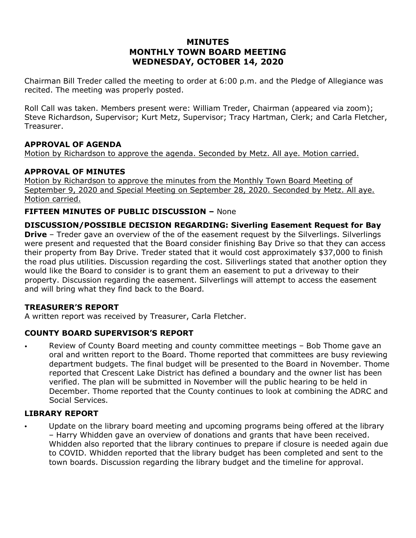# **MINUTES MONTHLY TOWN BOARD MEETING WEDNESDAY, OCTOBER 14, 2020**

Chairman Bill Treder called the meeting to order at 6:00 p.m. and the Pledge of Allegiance was recited. The meeting was properly posted.

Roll Call was taken. Members present were: William Treder, Chairman (appeared via zoom); Steve Richardson, Supervisor; Kurt Metz, Supervisor; Tracy Hartman, Clerk; and Carla Fletcher, Treasurer.

#### **APPROVAL OF AGENDA**

Motion by Richardson to approve the agenda. Seconded by Metz. All aye. Motion carried.

## **APPROVAL OF MINUTES**

Motion by Richardson to approve the minutes from the Monthly Town Board Meeting of September 9, 2020 and Special Meeting on September 28, 2020. Seconded by Metz. All aye. Motion carried.

#### **FIFTEEN MINUTES OF PUBLIC DISCUSSION –** None

**DISCUSSION/POSSIBLE DECISION REGARDING: Siverling Easement Request for Bay Drive** – Treder gave an overview of the of the easement request by the Silverlings. Silverlings were present and requested that the Board consider finishing Bay Drive so that they can access their property from Bay Drive. Treder stated that it would cost approximately \$37,000 to finish the road plus utilities. Discussion regarding the cost. Siliverlings stated that another option they would like the Board to consider is to grant them an easement to put a driveway to their property. Discussion regarding the easement. Silverlings will attempt to access the easement and will bring what they find back to the Board.

#### **TREASURER'S REPORT**

A written report was received by Treasurer, Carla Fletcher.

#### **COUNTY BOARD SUPERVISOR'S REPORT**

• Review of County Board meeting and county committee meetings – Bob Thome gave an oral and written report to the Board. Thome reported that committees are busy reviewing department budgets. The final budget will be presented to the Board in November. Thome reported that Crescent Lake District has defined a boundary and the owner list has been verified. The plan will be submitted in November will the public hearing to be held in December. Thome reported that the County continues to look at combining the ADRC and Social Services.

#### **LIBRARY REPORT**

Update on the library board meeting and upcoming programs being offered at the library – Harry Whidden gave an overview of donations and grants that have been received. Whidden also reported that the library continues to prepare if closure is needed again due to COVID. Whidden reported that the library budget has been completed and sent to the town boards. Discussion regarding the library budget and the timeline for approval.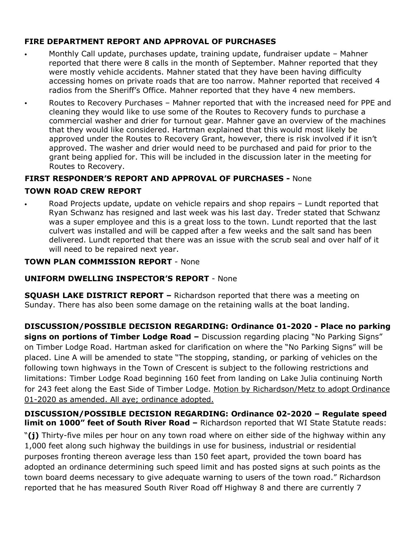## **FIRE DEPARTMENT REPORT AND APPROVAL OF PURCHASES**

- Monthly Call update, purchases update, training update, fundraiser update Mahner reported that there were 8 calls in the month of September. Mahner reported that they were mostly vehicle accidents. Mahner stated that they have been having difficulty accessing homes on private roads that are too narrow. Mahner reported that received 4 radios from the Sheriff's Office. Mahner reported that they have 4 new members.
- Routes to Recovery Purchases Mahner reported that with the increased need for PPE and cleaning they would like to use some of the Routes to Recovery funds to purchase a commercial washer and drier for turnout gear. Mahner gave an overview of the machines that they would like considered. Hartman explained that this would most likely be approved under the Routes to Recovery Grant, however, there is risk involved if it isn't approved. The washer and drier would need to be purchased and paid for prior to the grant being applied for. This will be included in the discussion later in the meeting for Routes to Recovery.

# **FIRST RESPONDER'S REPORT AND APPROVAL OF PURCHASES -** None

## **TOWN ROAD CREW REPORT**

• Road Projects update, update on vehicle repairs and shop repairs – Lundt reported that Ryan Schwanz has resigned and last week was his last day. Treder stated that Schwanz was a super employee and this is a great loss to the town. Lundt reported that the last culvert was installed and will be capped after a few weeks and the salt sand has been delivered. Lundt reported that there was an issue with the scrub seal and over half of it will need to be repaired next year.

## **TOWN PLAN COMMISSION REPORT** - None

## **UNIFORM DWELLING INSPECTOR'S REPORT** - None

**SQUASH LAKE DISTRICT REPORT –** Richardson reported that there was a meeting on Sunday. There has also been some damage on the retaining walls at the boat landing.

**DISCUSSION/POSSIBLE DECISION REGARDING: Ordinance 01-2020 - Place no parking signs on portions of Timber Lodge Road –** Discussion regarding placing "No Parking Signs" on Timber Lodge Road. Hartman asked for clarification on where the "No Parking Signs" will be placed. Line A will be amended to state "The stopping, standing, or parking of vehicles on the following town highways in the Town of Crescent is subject to the following restrictions and limitations: Timber Lodge Road beginning 160 feet from landing on Lake Julia continuing North for 243 feet along the East Side of Timber Lodge. Motion by Richardson/Metz to adopt Ordinance 01-2020 as amended. All aye; ordinance adopted.

#### **DISCUSSION/POSSIBLE DECISION REGARDING: Ordinance 02-2020 – Regulate speed limit on 1000" feet of South River Road –** Richardson reported that WI State Statute reads:

"**(j)** Thirty-five miles per hour on any town road where on either side of the highway within any 1,000 feet along such highway the buildings in use for business, industrial or residential purposes fronting thereon average less than 150 feet apart, provided the town board has adopted an ordinance determining such speed limit and has posted signs at such points as the town board deems necessary to give adequate warning to users of the town road." Richardson reported that he has measured South River Road off Highway 8 and there are currently 7